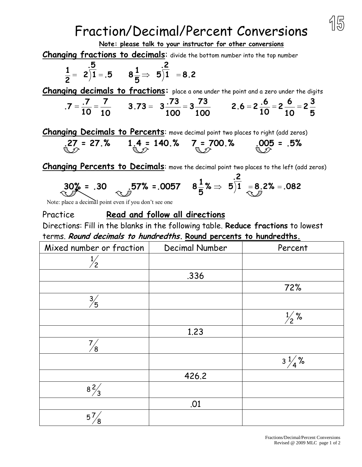## Fraction/Decimal/Percent Conversions



## **Note: please talk to your instructor for other conversions**

**Changing fractions to decimals**: divide the bottom number into the top number

$$
\frac{1}{2} = 2\overline{\smash)1} = .5 \qquad 8\frac{1}{5} \Rightarrow 5\overline{\smash)1} = 8.2
$$

**Changing decimals to fractions:** place a one under the point and a zero under the digits

$$
.7 = \frac{.7}{10} = \frac{7}{10}
$$
 3.73 = 3 $\frac{.73}{100} = 3\frac{.73}{100}$  2.6 = 2 $\frac{.6}{10} = 2\frac{6}{10} = 2\frac{3}{5}$ 

**Changing Decimals to Percents**: move decimal point two places to right (add zeros)

$$
27 = 27.%
$$
 1.4 = 140.% 7 = 700.% 005 = .5%

**Changing Percents to Decimals:** move the decimal point two places to the left (add zeros)

 $\mathbf{a}$ 

$$
30\% = .30 \qquad .57\% = .0057 \qquad 8\frac{1}{5}\% \Rightarrow 5\frac{.2}{1} = 8.2\% = .082
$$

Note: place a decimal point even if you don't see one

Practice **Read and follow all directions** Directions: Fill in the blanks in the following table. **Reduce fractions** to lowest terms. **Round decimals to hundredths. Round percents to hundredths.**

| Mixed number or fraction | Decimal Number | Percent          |
|--------------------------|----------------|------------------|
| $\mathbf{2}$             |                |                  |
|                          | .336           |                  |
|                          |                | 72%              |
| $\frac{3}{5}$            |                |                  |
|                          |                | $\frac{1}{2}$ %  |
|                          | 1.23           |                  |
| ΄8                       |                |                  |
|                          |                | $3\frac{1}{4}$ % |
|                          | 426.2          |                  |
| $\frac{8}{3}$            |                |                  |
|                          | .01            |                  |
| $5^7$                    |                |                  |